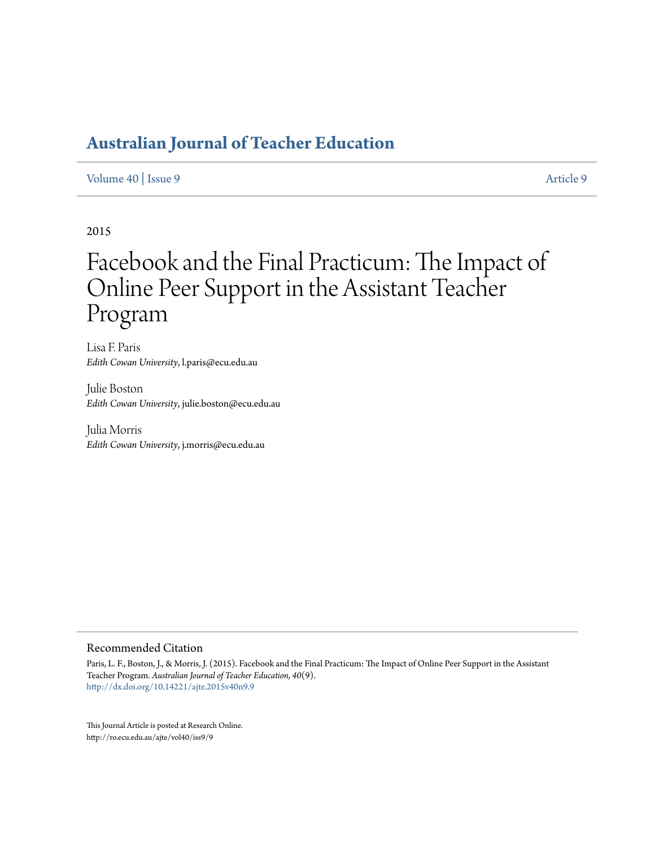#### [Volume 40](http://ro.ecu.edu.au/ajte/vol40) | [Issue 9](http://ro.ecu.edu.au/ajte/vol40/iss9) [Article 9](http://ro.ecu.edu.au/ajte/vol40/iss9/9)

2015

# Facebook and the Final Practicum: The Impact of Online Peer Support in the Assistant Teacher Program

Lisa F. Paris *Edith Cowan University*, l.paris@ecu.edu.au

Julie Boston *Edith Cowan University*, julie.boston@ecu.edu.au

Julia Morris *Edith Cowan University*, j.morris@ecu.edu.au

#### Recommended Citation

Paris, L. F., Boston, J., & Morris, J. (2015). Facebook and the Final Practicum: The Impact of Online Peer Support in the Assistant Teacher Program. *Australian Journal of Teacher Education, 40*(9). <http://dx.doi.org/10.14221/ajte.2015v40n9.9>

This Journal Article is posted at Research Online. http://ro.ecu.edu.au/ajte/vol40/iss9/9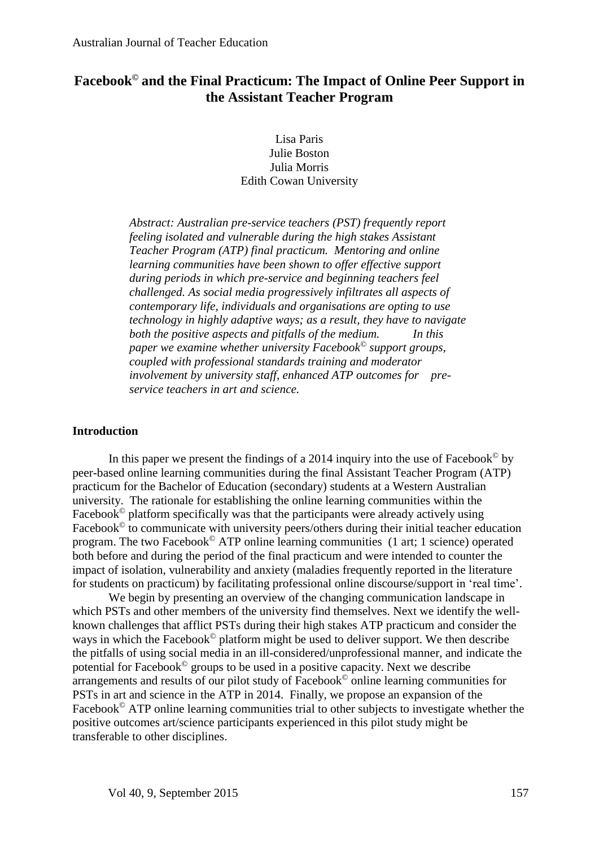### **Facebook© and the Final Practicum: The Impact of Online Peer Support in the Assistant Teacher Program**

Lisa Paris Julie Boston Julia Morris Edith Cowan University

*Abstract: Australian pre-service teachers (PST) frequently report feeling isolated and vulnerable during the high stakes Assistant Teacher Program (ATP) final practicum. Mentoring and online learning communities have been shown to offer effective support during periods in which pre-service and beginning teachers feel challenged. As social media progressively infiltrates all aspects of contemporary life, individuals and organisations are opting to use technology in highly adaptive ways; as a result, they have to navigate both the positive aspects and pitfalls of the medium. In this paper we examine whether university Facebook© support groups, coupled with professional standards training and moderator involvement by university staff, enhanced ATP outcomes for preservice teachers in art and science.*

#### **Introduction**

In this paper we present the findings of a 2014 inquiry into the use of Facebook<sup> $\odot$ </sup> by peer-based online learning communities during the final Assistant Teacher Program (ATP) practicum for the Bachelor of Education (secondary) students at a Western Australian university. The rationale for establishing the online learning communities within the Facebook<sup>©</sup> platform specifically was that the participants were already actively using Facebook<sup>©</sup> to communicate with university peers/others during their initial teacher education program. The two Facebook© ATP online learning communities (1 art; 1 science) operated both before and during the period of the final practicum and were intended to counter the impact of isolation, vulnerability and anxiety (maladies frequently reported in the literature for students on practicum) by facilitating professional online discourse/support in 'real time'.

We begin by presenting an overview of the changing communication landscape in which PSTs and other members of the university find themselves. Next we identify the wellknown challenges that afflict PSTs during their high stakes ATP practicum and consider the ways in which the Facebook<sup>©</sup> platform might be used to deliver support. We then describe the pitfalls of using social media in an ill-considered/unprofessional manner, and indicate the potential for Facebook© groups to be used in a positive capacity. Next we describe arrangements and results of our pilot study of  $\vec{Facebook}$ <sup>©</sup> online learning communities for PSTs in art and science in the ATP in 2014. Finally, we propose an expansion of the Facebook<sup>©</sup> ATP online learning communities trial to other subjects to investigate whether the positive outcomes art/science participants experienced in this pilot study might be transferable to other disciplines.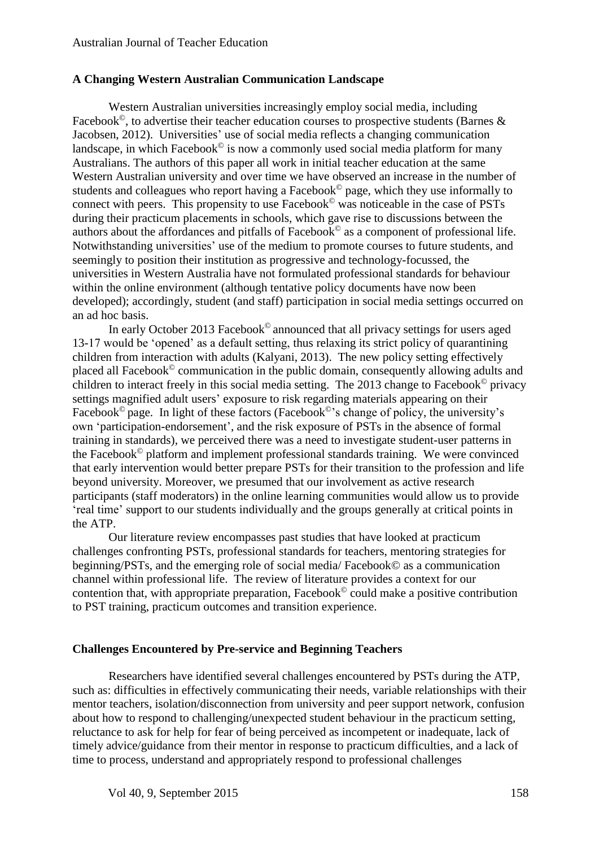#### **A Changing Western Australian Communication Landscape**

Western Australian universities increasingly employ social media, including Facebook<sup> $\odot$ </sup>, to advertise their teacher education courses to prospective students (Barnes & Jacobsen, 2012). Universities' use of social media reflects a changing communication landscape, in which Facebook<sup> $\odot$ </sup> is now a commonly used social media platform for many Australians. The authors of this paper all work in initial teacher education at the same Western Australian university and over time we have observed an increase in the number of students and colleagues who report having a Facebook© page, which they use informally to connect with peers. This propensity to use Facebook© was noticeable in the case of PSTs during their practicum placements in schools, which gave rise to discussions between the authors about the affordances and pitfalls of Facebook© as a component of professional life. Notwithstanding universities' use of the medium to promote courses to future students, and seemingly to position their institution as progressive and technology-focussed, the universities in Western Australia have not formulated professional standards for behaviour within the online environment (although tentative policy documents have now been developed); accordingly, student (and staff) participation in social media settings occurred on an ad hoc basis.

In early October 2013 Facebook<sup>®</sup> announced that all privacy settings for users aged 13-17 would be 'opened' as a default setting, thus relaxing its strict policy of quarantining children from interaction with adults (Kalyani, 2013). The new policy setting effectively placed all Facebook© communication in the public domain, consequently allowing adults and children to interact freely in this social media setting. The 2013 change to Facebook© privacy settings magnified adult users' exposure to risk regarding materials appearing on their Facebook<sup> $\circ$ </sup> page. In light of these factors (Facebook $\circ$ 's change of policy, the university's own 'participation-endorsement', and the risk exposure of PSTs in the absence of formal training in standards), we perceived there was a need to investigate student-user patterns in the Facebook© platform and implement professional standards training. We were convinced that early intervention would better prepare PSTs for their transition to the profession and life beyond university. Moreover, we presumed that our involvement as active research participants (staff moderators) in the online learning communities would allow us to provide 'real time' support to our students individually and the groups generally at critical points in the ATP.

Our literature review encompasses past studies that have looked at practicum challenges confronting PSTs, professional standards for teachers, mentoring strategies for beginning/PSTs, and the emerging role of social media/ Facebook© as a communication channel within professional life. The review of literature provides a context for our contention that, with appropriate preparation, Facebook<sup> $\circ$ </sup> could make a positive contribution to PST training, practicum outcomes and transition experience.

#### **Challenges Encountered by Pre-service and Beginning Teachers**

Researchers have identified several challenges encountered by PSTs during the ATP, such as: difficulties in effectively communicating their needs, variable relationships with their mentor teachers, isolation/disconnection from university and peer support network, confusion about how to respond to challenging/unexpected student behaviour in the practicum setting, reluctance to ask for help for fear of being perceived as incompetent or inadequate, lack of timely advice/guidance from their mentor in response to practicum difficulties, and a lack of time to process, understand and appropriately respond to professional challenges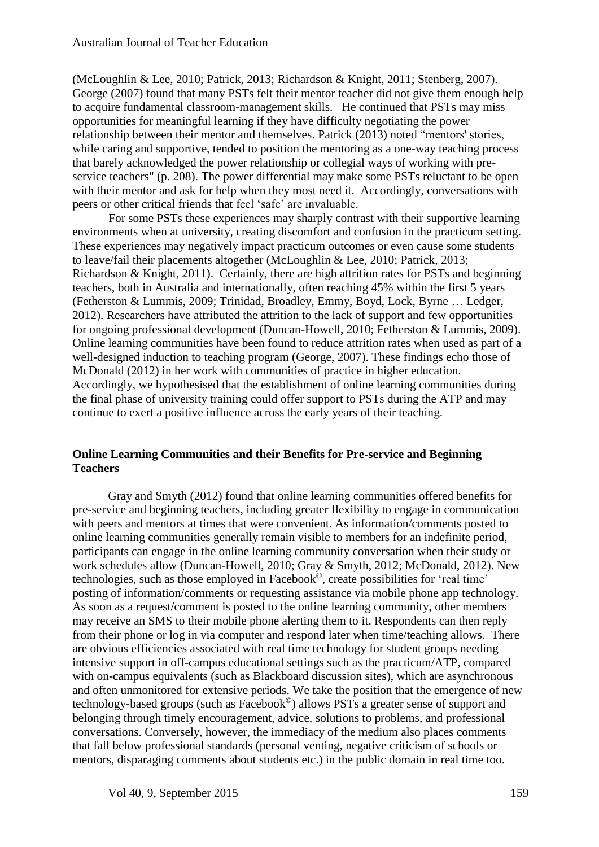(McLoughlin & Lee, 2010; Patrick, 2013; Richardson & Knight, 2011; Stenberg, 2007). George (2007) found that many PSTs felt their mentor teacher did not give them enough help to acquire fundamental classroom-management skills. He continued that PSTs may miss opportunities for meaningful learning if they have difficulty negotiating the power relationship between their mentor and themselves. Patrick (2013) noted "mentors' stories, while caring and supportive, tended to position the mentoring as a one-way teaching process that barely acknowledged the power relationship or collegial ways of working with preservice teachers" (p. 208). The power differential may make some PSTs reluctant to be open with their mentor and ask for help when they most need it. Accordingly, conversations with peers or other critical friends that feel 'safe' are invaluable.

For some PSTs these experiences may sharply contrast with their supportive learning environments when at university, creating discomfort and confusion in the practicum setting. These experiences may negatively impact practicum outcomes or even cause some students to leave/fail their placements altogether (McLoughlin & Lee, 2010; Patrick, 2013; Richardson & Knight, 2011). Certainly, there are high attrition rates for PSTs and beginning teachers, both in Australia and internationally, often reaching 45% within the first 5 years (Fetherston & Lummis, 2009; Trinidad, Broadley, Emmy, Boyd, Lock, Byrne … Ledger, 2012). Researchers have attributed the attrition to the lack of support and few opportunities for ongoing professional development (Duncan-Howell, 2010; Fetherston & Lummis, 2009). Online learning communities have been found to reduce attrition rates when used as part of a well-designed induction to teaching program (George, 2007). These findings echo those of McDonald (2012) in her work with communities of practice in higher education. Accordingly, we hypothesised that the establishment of online learning communities during the final phase of university training could offer support to PSTs during the ATP and may continue to exert a positive influence across the early years of their teaching.

#### **Online Learning Communities and their Benefits for Pre-service and Beginning Teachers**

Gray and Smyth (2012) found that online learning communities offered benefits for pre-service and beginning teachers, including greater flexibility to engage in communication with peers and mentors at times that were convenient. As information/comments posted to online learning communities generally remain visible to members for an indefinite period, participants can engage in the online learning community conversation when their study or work schedules allow (Duncan-Howell, 2010; Gray & Smyth, 2012; McDonald, 2012). New technologies, such as those employed in Facebook©, create possibilities for 'real time' posting of information/comments or requesting assistance via mobile phone app technology. As soon as a request/comment is posted to the online learning community, other members may receive an SMS to their mobile phone alerting them to it. Respondents can then reply from their phone or log in via computer and respond later when time/teaching allows. There are obvious efficiencies associated with real time technology for student groups needing intensive support in off-campus educational settings such as the practicum/ATP, compared with on-campus equivalents (such as Blackboard discussion sites), which are asynchronous and often unmonitored for extensive periods. We take the position that the emergence of new technology-based groups (such as Facebook©) allows PSTs a greater sense of support and belonging through timely encouragement, advice, solutions to problems, and professional conversations. Conversely, however, the immediacy of the medium also places comments that fall below professional standards (personal venting, negative criticism of schools or mentors, disparaging comments about students etc.) in the public domain in real time too.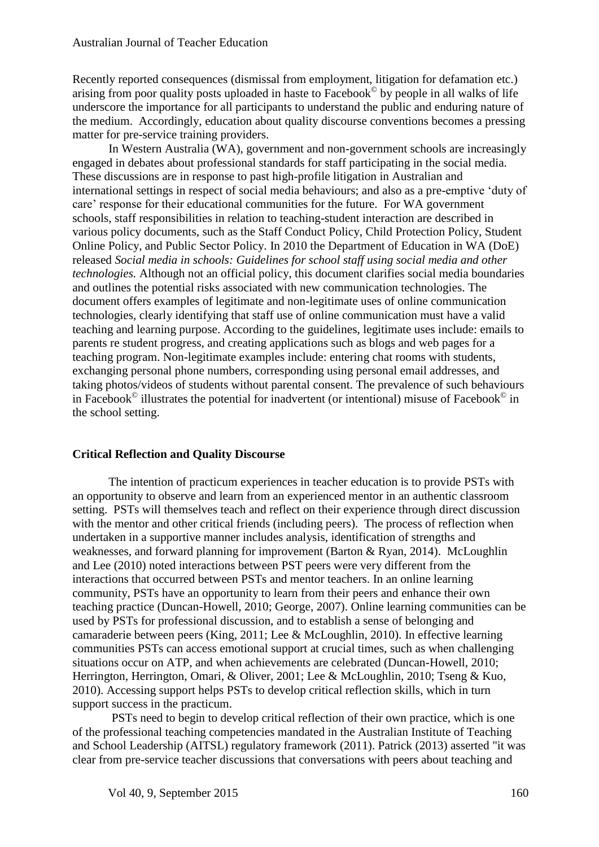Recently reported consequences (dismissal from employment, litigation for defamation etc.) arising from poor quality posts uploaded in haste to  $Facebook<sup>®</sup>$  by people in all walks of life underscore the importance for all participants to understand the public and enduring nature of the medium. Accordingly, education about quality discourse conventions becomes a pressing matter for pre-service training providers.

In Western Australia (WA), government and non-government schools are increasingly engaged in debates about professional standards for staff participating in the social media. These discussions are in response to past high-profile litigation in Australian and international settings in respect of social media behaviours; and also as a pre-emptive 'duty of care' response for their educational communities for the future. For WA government schools, staff responsibilities in relation to teaching-student interaction are described in various policy documents, such as the Staff Conduct Policy, Child Protection Policy, Student Online Policy, and Public Sector Policy. In 2010 the Department of Education in WA (DoE) released *Social media in schools: Guidelines for school staff using social media and other technologies.* Although not an official policy, this document clarifies social media boundaries and outlines the potential risks associated with new communication technologies. The document offers examples of legitimate and non-legitimate uses of online communication technologies, clearly identifying that staff use of online communication must have a valid teaching and learning purpose. According to the guidelines, legitimate uses include: emails to parents re student progress, and creating applications such as blogs and web pages for a teaching program. Non-legitimate examples include: entering chat rooms with students, exchanging personal phone numbers, corresponding using personal email addresses, and taking photos/videos of students without parental consent. The prevalence of such behaviours in Facebook<sup> $\circ$ </sup> illustrates the potential for inadvertent (or intentional) misuse of Facebook $\circ$  in the school setting.

#### **Critical Reflection and Quality Discourse**

The intention of practicum experiences in teacher education is to provide PSTs with an opportunity to observe and learn from an experienced mentor in an authentic classroom setting. PSTs will themselves teach and reflect on their experience through direct discussion with the mentor and other critical friends (including peers). The process of reflection when undertaken in a supportive manner includes analysis, identification of strengths and weaknesses, and forward planning for improvement (Barton & Ryan, 2014). McLoughlin and Lee (2010) noted interactions between PST peers were very different from the interactions that occurred between PSTs and mentor teachers. In an online learning community, PSTs have an opportunity to learn from their peers and enhance their own teaching practice (Duncan-Howell, 2010; George, 2007). Online learning communities can be used by PSTs for professional discussion, and to establish a sense of belonging and camaraderie between peers (King, 2011; Lee & McLoughlin, 2010). In effective learning communities PSTs can access emotional support at crucial times, such as when challenging situations occur on ATP, and when achievements are celebrated (Duncan-Howell, 2010; Herrington, Herrington, Omari, & Oliver, 2001; Lee & McLoughlin, 2010; Tseng & Kuo, 2010). Accessing support helps PSTs to develop critical reflection skills, which in turn support success in the practicum.

PSTs need to begin to develop critical reflection of their own practice, which is one of the professional teaching competencies mandated in the Australian Institute of Teaching and School Leadership (AITSL) regulatory framework (2011). Patrick (2013) asserted "it was clear from pre-service teacher discussions that conversations with peers about teaching and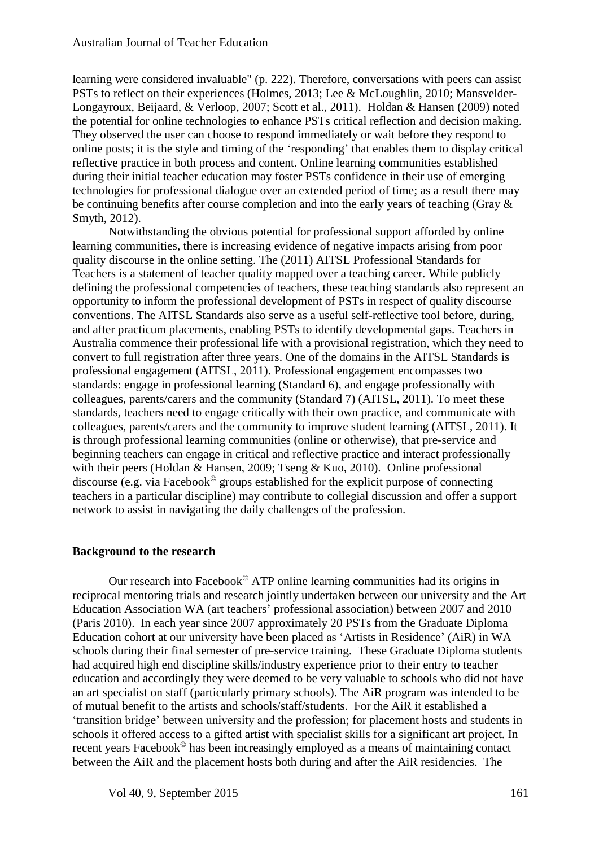learning were considered invaluable" (p. 222). Therefore, conversations with peers can assist PSTs to reflect on their experiences (Holmes, 2013; Lee & McLoughlin, 2010; Mansvelder-Longayroux, Beijaard, & Verloop, 2007; Scott et al., 2011). Holdan & Hansen (2009) noted the potential for online technologies to enhance PSTs critical reflection and decision making. They observed the user can choose to respond immediately or wait before they respond to online posts; it is the style and timing of the 'responding' that enables them to display critical reflective practice in both process and content. Online learning communities established during their initial teacher education may foster PSTs confidence in their use of emerging technologies for professional dialogue over an extended period of time; as a result there may be continuing benefits after course completion and into the early years of teaching (Gray & Smyth, 2012).

Notwithstanding the obvious potential for professional support afforded by online learning communities, there is increasing evidence of negative impacts arising from poor quality discourse in the online setting. The (2011) AITSL Professional Standards for Teachers is a statement of teacher quality mapped over a teaching career. While publicly defining the professional competencies of teachers, these teaching standards also represent an opportunity to inform the professional development of PSTs in respect of quality discourse conventions. The AITSL Standards also serve as a useful self-reflective tool before, during, and after practicum placements, enabling PSTs to identify developmental gaps. Teachers in Australia commence their professional life with a provisional registration, which they need to convert to full registration after three years. One of the domains in the AITSL Standards is professional engagement (AITSL, 2011). Professional engagement encompasses two standards: engage in professional learning (Standard 6), and engage professionally with colleagues, parents/carers and the community (Standard 7) (AITSL, 2011). To meet these standards, teachers need to engage critically with their own practice, and communicate with colleagues, parents/carers and the community to improve student learning (AITSL, 2011). It is through professional learning communities (online or otherwise), that pre-service and beginning teachers can engage in critical and reflective practice and interact professionally with their peers (Holdan & Hansen, 2009; Tseng & Kuo, 2010). Online professional discourse (e.g. via Facebook© groups established for the explicit purpose of connecting teachers in a particular discipline) may contribute to collegial discussion and offer a support network to assist in navigating the daily challenges of the profession.

#### **Background to the research**

Our research into Facebook<sup> $\odot$ </sup> ATP online learning communities had its origins in reciprocal mentoring trials and research jointly undertaken between our university and the Art Education Association WA (art teachers' professional association) between 2007 and 2010 (Paris 2010). In each year since 2007 approximately 20 PSTs from the Graduate Diploma Education cohort at our university have been placed as 'Artists in Residence' (AiR) in WA schools during their final semester of pre-service training. These Graduate Diploma students had acquired high end discipline skills/industry experience prior to their entry to teacher education and accordingly they were deemed to be very valuable to schools who did not have an art specialist on staff (particularly primary schools). The AiR program was intended to be of mutual benefit to the artists and schools/staff/students. For the AiR it established a 'transition bridge' between university and the profession; for placement hosts and students in schools it offered access to a gifted artist with specialist skills for a significant art project. In recent years Facebook© has been increasingly employed as a means of maintaining contact between the AiR and the placement hosts both during and after the AiR residencies. The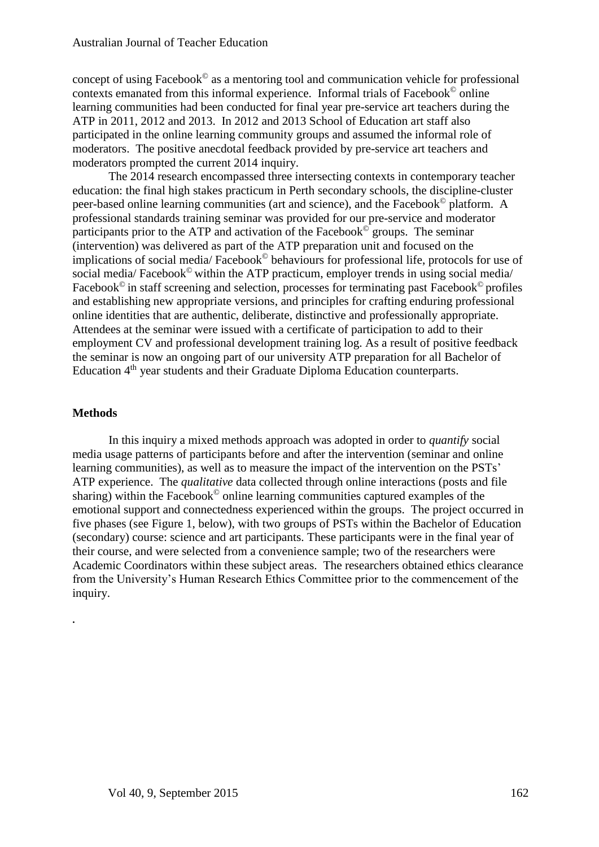concept of using Facebook $^{\circ}$  as a mentoring tool and communication vehicle for professional contexts emanated from this informal experience. Informal trials of Facebook© online learning communities had been conducted for final year pre-service art teachers during the ATP in 2011, 2012 and 2013. In 2012 and 2013 School of Education art staff also participated in the online learning community groups and assumed the informal role of moderators. The positive anecdotal feedback provided by pre-service art teachers and moderators prompted the current 2014 inquiry.

The 2014 research encompassed three intersecting contexts in contemporary teacher education: the final high stakes practicum in Perth secondary schools, the discipline-cluster peer-based online learning communities (art and science), and the Facebook© platform. A professional standards training seminar was provided for our pre-service and moderator participants prior to the ATP and activation of the Facebook<sup> $\circ$ </sup> groups. The seminar (intervention) was delivered as part of the ATP preparation unit and focused on the implications of social media/ Facebook© behaviours for professional life, protocols for use of social media/ Facebook<sup>©</sup> within the ATP practicum, employer trends in using social media/ Facebook<sup>©</sup> in staff screening and selection, processes for terminating past Facebook<sup>©</sup> profiles and establishing new appropriate versions, and principles for crafting enduring professional online identities that are authentic, deliberate, distinctive and professionally appropriate. Attendees at the seminar were issued with a certificate of participation to add to their employment CV and professional development training log. As a result of positive feedback the seminar is now an ongoing part of our university ATP preparation for all Bachelor of Education 4<sup>th</sup> year students and their Graduate Diploma Education counterparts.

#### **Methods**

**.**

In this inquiry a mixed methods approach was adopted in order to *quantify* social media usage patterns of participants before and after the intervention (seminar and online learning communities), as well as to measure the impact of the intervention on the PSTs' ATP experience. The *qualitative* data collected through online interactions (posts and file sharing) within the Facebook $\mathcal O$  online learning communities captured examples of the emotional support and connectedness experienced within the groups. The project occurred in five phases (see Figure 1, below), with two groups of PSTs within the Bachelor of Education (secondary) course: science and art participants. These participants were in the final year of their course, and were selected from a convenience sample; two of the researchers were Academic Coordinators within these subject areas. The researchers obtained ethics clearance from the University's Human Research Ethics Committee prior to the commencement of the inquiry.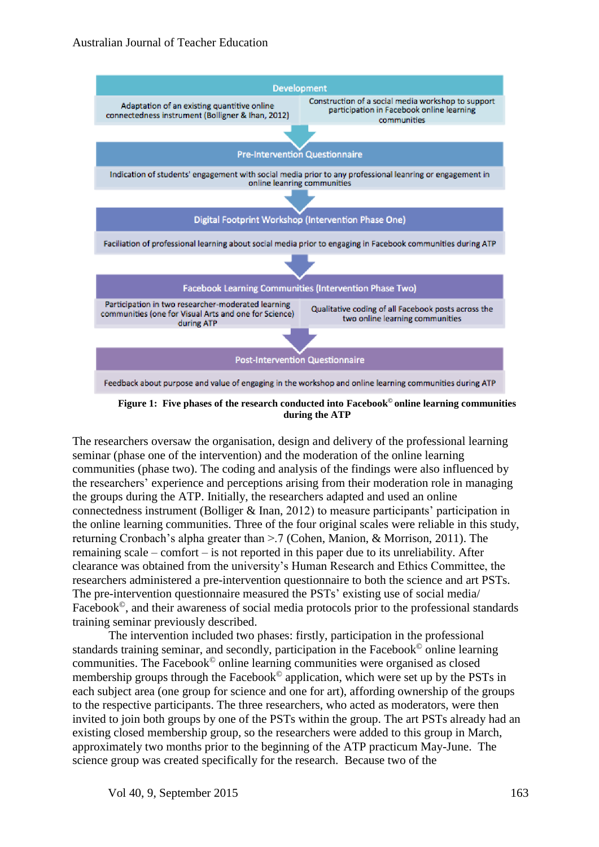

**Figure 1: Five phases of the research conducted into Facebook© online learning communities during the ATP**

The researchers oversaw the organisation, design and delivery of the professional learning seminar (phase one of the intervention) and the moderation of the online learning communities (phase two). The coding and analysis of the findings were also influenced by the researchers' experience and perceptions arising from their moderation role in managing the groups during the ATP. Initially, the researchers adapted and used an online connectedness instrument (Bolliger & Inan, 2012) to measure participants' participation in the online learning communities. Three of the four original scales were reliable in this study, returning Cronbach's alpha greater than >.7 (Cohen, Manion, & Morrison, 2011). The remaining scale – comfort – is not reported in this paper due to its unreliability. After clearance was obtained from the university's Human Research and Ethics Committee, the researchers administered a pre-intervention questionnaire to both the science and art PSTs. The pre-intervention questionnaire measured the PSTs' existing use of social media/ Facebook<sup>o</sup>, and their awareness of social media protocols prior to the professional standards training seminar previously described.

The intervention included two phases: firstly, participation in the professional standards training seminar, and secondly, participation in the Facebook© online learning communities. The Facebook© online learning communities were organised as closed membership groups through the Facebook<sup>®</sup> application, which were set up by the PSTs in each subject area (one group for science and one for art), affording ownership of the groups to the respective participants. The three researchers, who acted as moderators, were then invited to join both groups by one of the PSTs within the group. The art PSTs already had an existing closed membership group, so the researchers were added to this group in March, approximately two months prior to the beginning of the ATP practicum May-June. The science group was created specifically for the research. Because two of the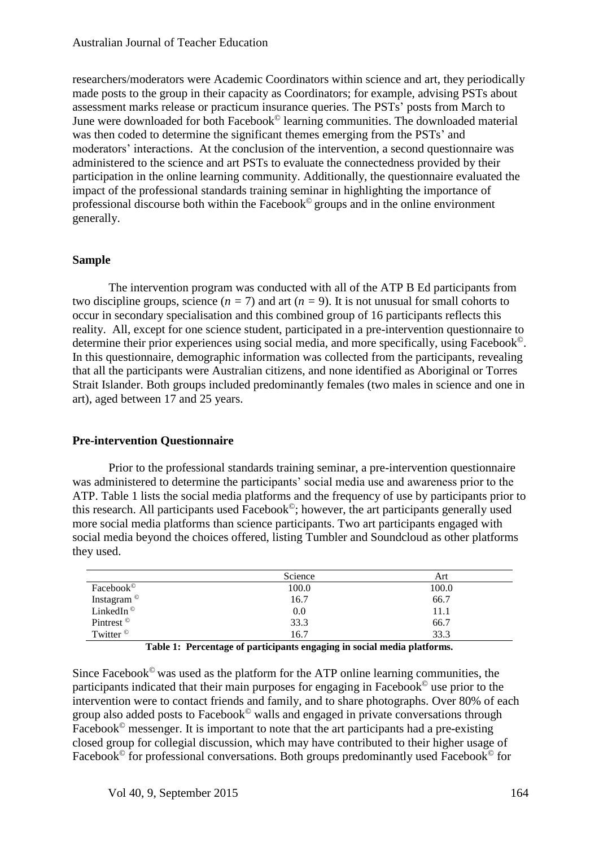researchers/moderators were Academic Coordinators within science and art, they periodically made posts to the group in their capacity as Coordinators; for example, advising PSTs about assessment marks release or practicum insurance queries. The PSTs' posts from March to June were downloaded for both Facebook© learning communities. The downloaded material was then coded to determine the significant themes emerging from the PSTs' and moderators' interactions. At the conclusion of the intervention, a second questionnaire was administered to the science and art PSTs to evaluate the connectedness provided by their participation in the online learning community. Additionally, the questionnaire evaluated the impact of the professional standards training seminar in highlighting the importance of professional discourse both within the Facebook© groups and in the online environment generally.

#### **Sample**

The intervention program was conducted with all of the ATP B Ed participants from two discipline groups, science  $(n = 7)$  and art  $(n = 9)$ . It is not unusual for small cohorts to occur in secondary specialisation and this combined group of 16 participants reflects this reality. All, except for one science student, participated in a pre-intervention questionnaire to determine their prior experiences using social media, and more specifically, using Facebook©. In this questionnaire, demographic information was collected from the participants, revealing that all the participants were Australian citizens, and none identified as Aboriginal or Torres Strait Islander. Both groups included predominantly females (two males in science and one in art), aged between 17 and 25 years.

#### **Pre-intervention Questionnaire**

Prior to the professional standards training seminar, a pre-intervention questionnaire was administered to determine the participants' social media use and awareness prior to the ATP. Table 1 lists the social media platforms and the frequency of use by participants prior to this research. All participants used Facebook©; however, the art participants generally used more social media platforms than science participants. Two art participants engaged with social media beyond the choices offered, listing Tumbler and Soundcloud as other platforms they used.

|                        | Science | Art   |
|------------------------|---------|-------|
| Facebook <sup>®</sup>  | 100.0   | 100.0 |
| Instagram <sup>©</sup> | 16.7    | 66.7  |
| LinkedIn <sup>©</sup>  | 0.0     | 11.1  |
| Pintrest <sup>©</sup>  | 33.3    | 66.7  |
| Twitter <sup>©</sup>   | 16.7    | 33.3  |

**Table 1: Percentage of participants engaging in social media platforms.**

Since Facebook $^{\circ}$  was used as the platform for the ATP online learning communities, the participants indicated that their main purposes for engaging in Facebook© use prior to the intervention were to contact friends and family, and to share photographs. Over 80% of each group also added posts to Facebook© walls and engaged in private conversations through Facebook<sup> $\odot$ </sup> messenger. It is important to note that the art participants had a pre-existing closed group for collegial discussion, which may have contributed to their higher usage of Facebook<sup>©</sup> for professional conversations. Both groups predominantly used Facebook<sup>©</sup> for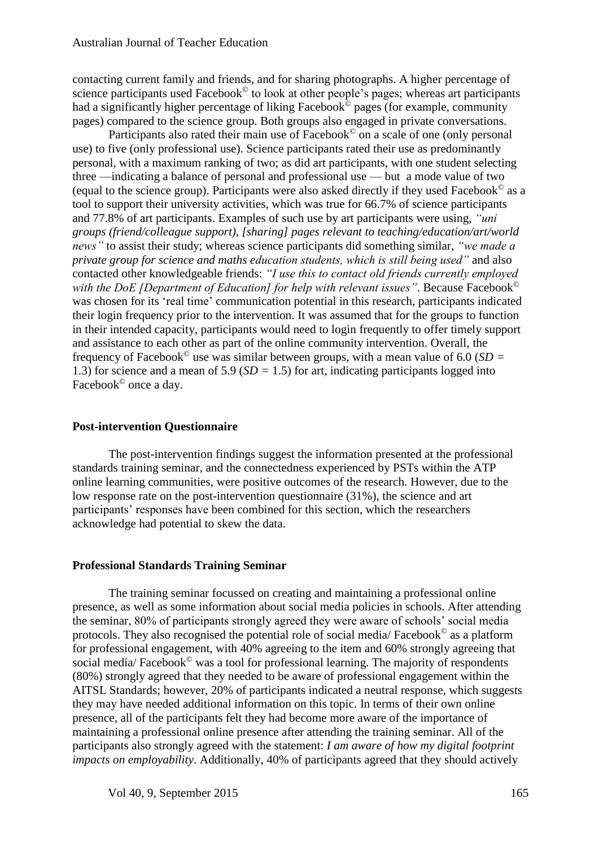contacting current family and friends, and for sharing photographs. A higher percentage of science participants used Facebook<sup>©</sup> to look at other people's pages; whereas art participants had a significantly higher percentage of liking Facebook<sup>o</sup> pages (for example, community pages) compared to the science group. Both groups also engaged in private conversations.

Participants also rated their main use of Facebook<sup>©</sup> on a scale of one (only personal use) to five (only professional use). Science participants rated their use as predominantly personal, with a maximum ranking of two; as did art participants, with one student selecting three —indicating a balance of personal and professional use — but a mode value of two (equal to the science group). Participants were also asked directly if they used Facebook© as a tool to support their university activities, which was true for 66.7% of science participants and 77.8% of art participants. Examples of such use by art participants were using, *"uni groups (friend/colleague support), [sharing] pages relevant to teaching/education/art/world news"* to assist their study; whereas science participants did something similar, *"we made a private group for science and maths education students, which is still being used"* and also contacted other knowledgeable friends: *"I use this to contact old friends currently employed with the DoE [Department of Education] for help with relevant issues"*. Because Facebook© was chosen for its 'real time' communication potential in this research, participants indicated their login frequency prior to the intervention. It was assumed that for the groups to function in their intended capacity, participants would need to login frequently to offer timely support and assistance to each other as part of the online community intervention. Overall, the frequency of Facebook<sup> $\degree$ </sup> use was similar between groups, with a mean value of 6.0 (*SD* = 1.3) for science and a mean of 5.9 (*SD =* 1.5) for art, indicating participants logged into Facebook<sup>©</sup> once a day.

#### **Post-intervention Questionnaire**

The post-intervention findings suggest the information presented at the professional standards training seminar, and the connectedness experienced by PSTs within the ATP online learning communities, were positive outcomes of the research. However, due to the low response rate on the post-intervention questionnaire (31%), the science and art participants' responses have been combined for this section, which the researchers acknowledge had potential to skew the data.

#### **Professional Standards Training Seminar**

The training seminar focussed on creating and maintaining a professional online presence, as well as some information about social media policies in schools. After attending the seminar, 80% of participants strongly agreed they were aware of schools' social media protocols. They also recognised the potential role of social media/ Facebook© as a platform for professional engagement, with 40% agreeing to the item and 60% strongly agreeing that social media/ Facebook<sup>©</sup> was a tool for professional learning. The majority of respondents (80%) strongly agreed that they needed to be aware of professional engagement within the AITSL Standards; however, 20% of participants indicated a neutral response, which suggests they may have needed additional information on this topic. In terms of their own online presence, all of the participants felt they had become more aware of the importance of maintaining a professional online presence after attending the training seminar. All of the participants also strongly agreed with the statement: *I am aware of how my digital footprint impacts on employability*. Additionally, 40% of participants agreed that they should actively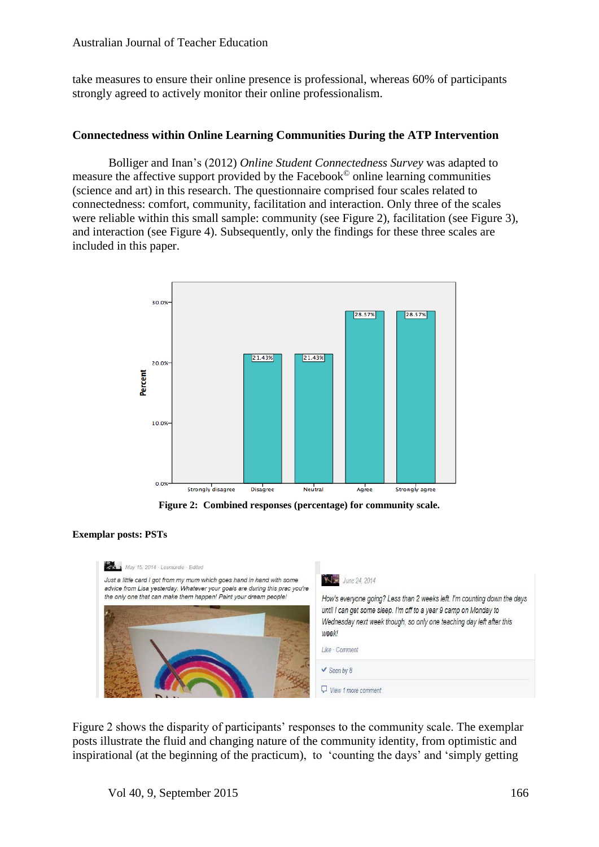take measures to ensure their online presence is professional, whereas 60% of participants strongly agreed to actively monitor their online professionalism.

#### **Connectedness within Online Learning Communities During the ATP Intervention**

Bolliger and Inan's (2012) *Online Student Connectedness Survey* was adapted to measure the affective support provided by the Facebook© online learning communities (science and art) in this research. The questionnaire comprised four scales related to connectedness: comfort, community, facilitation and interaction. Only three of the scales were reliable within this small sample: community (see Figure 2), facilitation (see Figure 3), and interaction (see Figure 4). Subsequently, only the findings for these three scales are included in this paper.



**Figure 2: Combined responses (percentage) for community scale.**

#### **Exemplar posts: PSTs**



Figure 2 shows the disparity of participants' responses to the community scale. The exemplar posts illustrate the fluid and changing nature of the community identity, from optimistic and inspirational (at the beginning of the practicum), to 'counting the days' and 'simply getting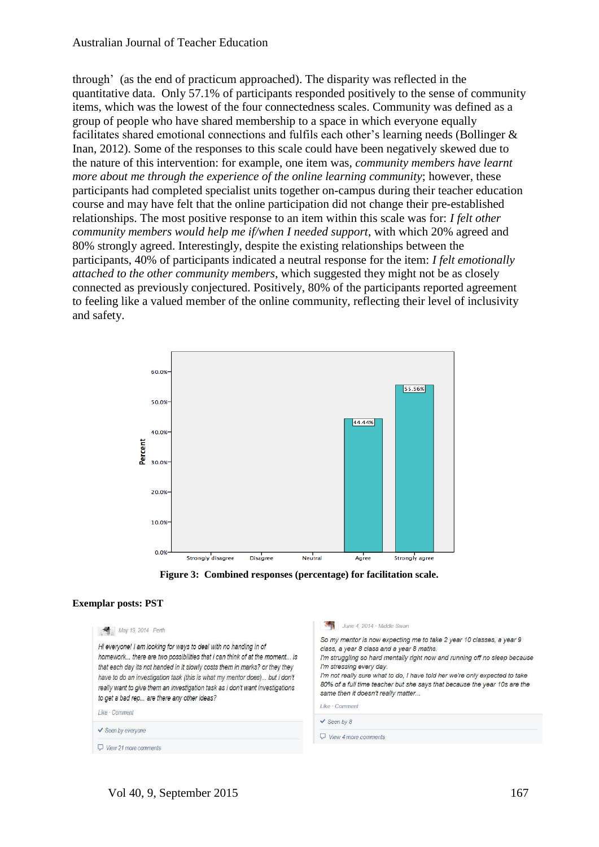through' (as the end of practicum approached). The disparity was reflected in the quantitative data. Only 57.1% of participants responded positively to the sense of community items, which was the lowest of the four connectedness scales. Community was defined as a group of people who have shared membership to a space in which everyone equally facilitates shared emotional connections and fulfils each other's learning needs (Bollinger & Inan, 2012). Some of the responses to this scale could have been negatively skewed due to the nature of this intervention: for example, one item was, *community members have learnt more about me through the experience of the online learning community*; however, these participants had completed specialist units together on-campus during their teacher education course and may have felt that the online participation did not change their pre-established relationships. The most positive response to an item within this scale was for: *I felt other community members would help me if/when I needed support*, with which 20% agreed and 80% strongly agreed. Interestingly, despite the existing relationships between the participants, 40% of participants indicated a neutral response for the item: *I felt emotionally attached to the other community members*, which suggested they might not be as closely connected as previously conjectured. Positively, 80% of the participants reported agreement to feeling like a valued member of the online community, reflecting their level of inclusivity and safety.





#### **Exemplar posts: PST**

| $\vee$ Seen by 8 | May 19, 2014 · Perth<br>Hi everyone! I am looking for ways to deal with no handing in of<br>homework there are two possibilities that i can think of at the moment is<br>that each day its not handed in it slowly costs them in marks? or they they<br>have to do an investigation task (this is what my mentor does) but i don't<br>really want to give them an investigation task as i don't want investigations<br>to get a bad rep are there any other ideas?<br>Like Comment<br>$\checkmark$ Seen by everyone | June 4, 2014 · Middle Swan<br>So my mentor is now expecting me to take 2 year 10 classes, a year 9<br>class, a year 8 class and a year 8 maths.<br>I'm struggling so hard mentally right now and running off no sleep because<br>I'm stressing every day.<br>I'm not really sure what to do, I have told her we're only expected to take<br>80% of a full time teacher but she says that because the year 10s are the<br>same then it doesn't really matter<br>Like · Comment |  |
|------------------|---------------------------------------------------------------------------------------------------------------------------------------------------------------------------------------------------------------------------------------------------------------------------------------------------------------------------------------------------------------------------------------------------------------------------------------------------------------------------------------------------------------------|-------------------------------------------------------------------------------------------------------------------------------------------------------------------------------------------------------------------------------------------------------------------------------------------------------------------------------------------------------------------------------------------------------------------------------------------------------------------------------|--|
|                  |                                                                                                                                                                                                                                                                                                                                                                                                                                                                                                                     |                                                                                                                                                                                                                                                                                                                                                                                                                                                                               |  |
|                  | View 21 more comments                                                                                                                                                                                                                                                                                                                                                                                                                                                                                               |                                                                                                                                                                                                                                                                                                                                                                                                                                                                               |  |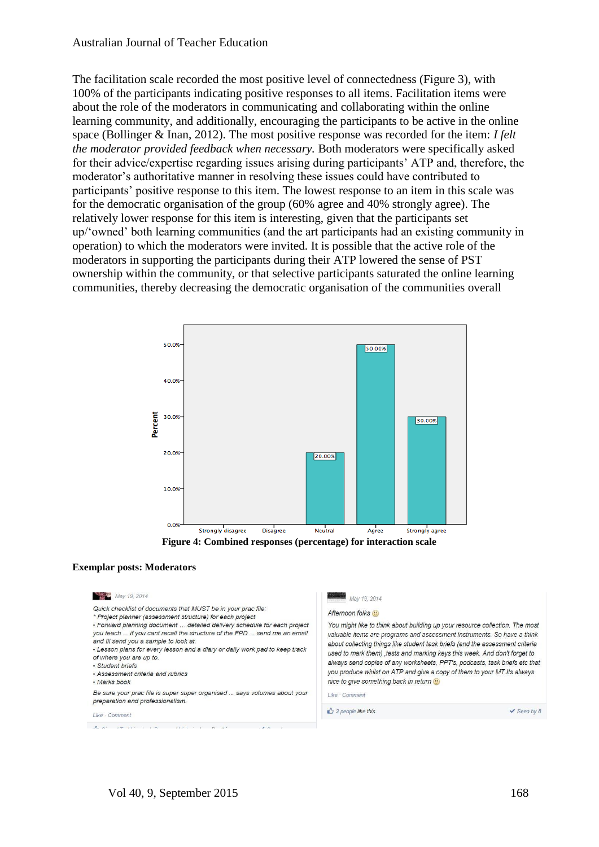The facilitation scale recorded the most positive level of connectedness (Figure 3), with 100% of the participants indicating positive responses to all items. Facilitation items were about the role of the moderators in communicating and collaborating within the online learning community, and additionally, encouraging the participants to be active in the online space (Bollinger & Inan, 2012). The most positive response was recorded for the item: *I felt the moderator provided feedback when necessary.* Both moderators were specifically asked for their advice/expertise regarding issues arising during participants' ATP and, therefore, the moderator's authoritative manner in resolving these issues could have contributed to participants' positive response to this item. The lowest response to an item in this scale was for the democratic organisation of the group (60% agree and 40% strongly agree). The relatively lower response for this item is interesting, given that the participants set up/'owned' both learning communities (and the art participants had an existing community in operation) to which the moderators were invited. It is possible that the active role of the moderators in supporting the participants during their ATP lowered the sense of PST ownership within the community, or that selective participants saturated the online learning communities, thereby decreasing the democratic organisation of the communities overall





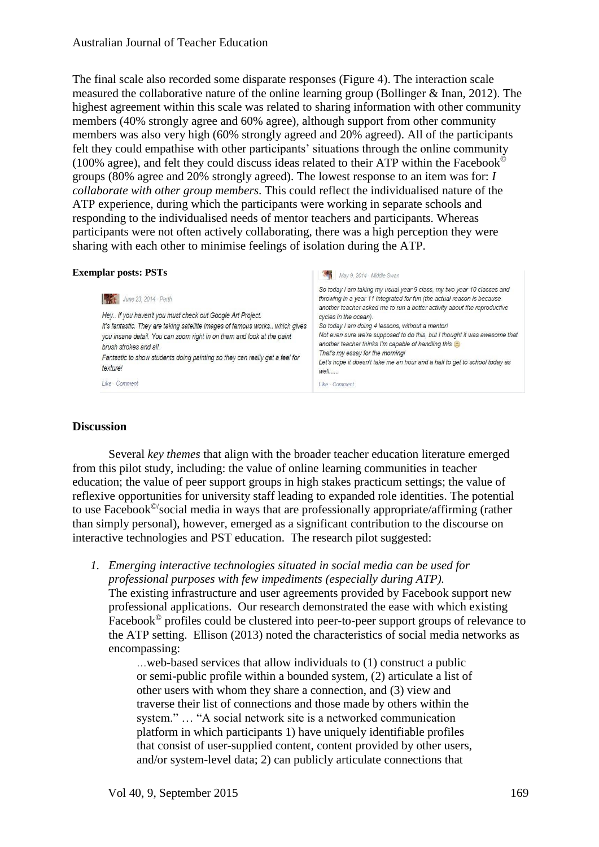The final scale also recorded some disparate responses (Figure 4). The interaction scale measured the collaborative nature of the online learning group (Bollinger & Inan, 2012). The highest agreement within this scale was related to sharing information with other community members (40% strongly agree and 60% agree), although support from other community members was also very high (60% strongly agreed and 20% agreed). All of the participants felt they could empathise with other participants' situations through the online community (100% agree), and felt they could discuss ideas related to their ATP within the Facebook<sup> $\odot$ </sup> groups (80% agree and 20% strongly agreed). The lowest response to an item was for: *I collaborate with other group members*. This could reflect the individualised nature of the ATP experience, during which the participants were working in separate schools and responding to the individualised needs of mentor teachers and participants. Whereas participants were not often actively collaborating, there was a high perception they were sharing with each other to minimise feelings of isolation during the ATP.

#### **Exemplar posts: PSTs** May 9, 2014 Middle Swan So today I am taking my usual year 9 class, my two year 10 classes and June 23, 2014 · Perth throwing in a year 11 integrated for fun (the actual reason is because another teacher asked me to run a better activity about the reproductive Hey.. if you haven't you must check out Google Art Project. cycles in the ocean). It's fantastic. They are taking satellite images of famous works.. which gives So today I am doing 4 lessons, without a mentor! you insane detail. You can zoom right in on them and look at the paint Not even sure we're supposed to do this, but I thought it was awesome that another teacher thinks I'm capable of handling this @ brush strokes and all. That's my essay for the morning! Fantastic to show students doing painting so they can really get a feel for Let's hope it doesn't take me an hour and a half to get to school today as texture! well..... Like Comment Like Comment

#### **Discussion**

Several *key themes* that align with the broader teacher education literature emerged from this pilot study, including: the value of online learning communities in teacher education; the value of peer support groups in high stakes practicum settings; the value of reflexive opportunities for university staff leading to expanded role identities. The potential to use Facebook©/social media in ways that are professionally appropriate/affirming (rather than simply personal), however, emerged as a significant contribution to the discourse on interactive technologies and PST education. The research pilot suggested:

*1. Emerging interactive technologies situated in social media can be used for professional purposes with few impediments (especially during ATP).*  The existing infrastructure and user agreements provided by Facebook support new professional applications. Our research demonstrated the ease with which existing Facebook<sup>©</sup> profiles could be clustered into peer-to-peer support groups of relevance to the ATP setting. Ellison (2013) noted the characteristics of social media networks as encompassing:

> …web-based services that allow individuals to (1) construct a public or semi-public profile within a bounded system, (2) articulate a list of other users with whom they share a connection, and (3) view and traverse their list of connections and those made by others within the system." … "A social network site is a networked communication platform in which participants 1) have uniquely identifiable profiles that consist of user-supplied content, content provided by other users, and/or system-level data; 2) can publicly articulate connections that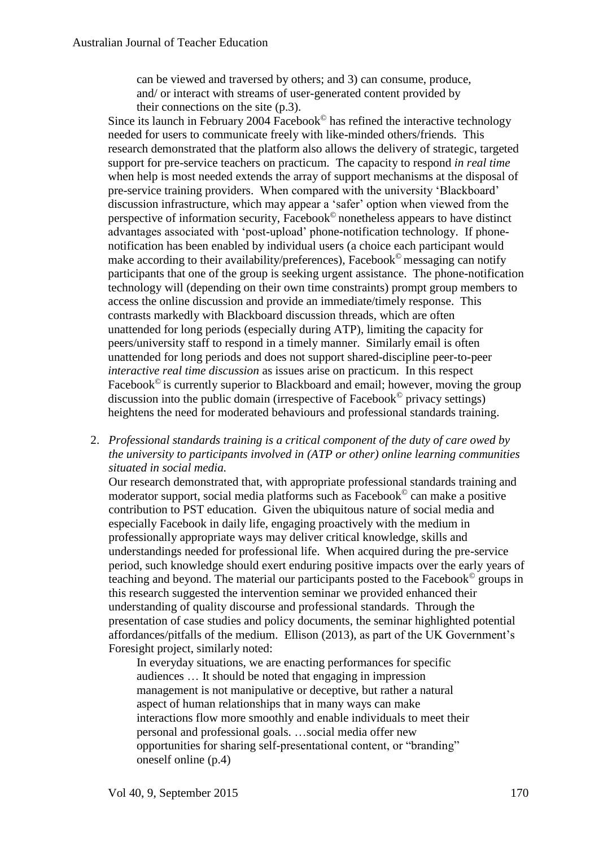can be viewed and traversed by others; and 3) can consume, produce, and/ or interact with streams of user-generated content provided by their connections on the site (p.3).

Since its launch in February 2004 Facebook<sup> $\odot$ </sup> has refined the interactive technology needed for users to communicate freely with like-minded others/friends. This research demonstrated that the platform also allows the delivery of strategic, targeted support for pre-service teachers on practicum*.* The capacity to respond *in real time*  when help is most needed extends the array of support mechanisms at the disposal of pre-service training providers. When compared with the university 'Blackboard' discussion infrastructure, which may appear a 'safer' option when viewed from the perspective of information security, Facebook© nonetheless appears to have distinct advantages associated with 'post-upload' phone-notification technology. If phonenotification has been enabled by individual users (a choice each participant would make according to their availability/preferences), Facebook<sup>©</sup> messaging can notify participants that one of the group is seeking urgent assistance. The phone-notification technology will (depending on their own time constraints) prompt group members to access the online discussion and provide an immediate/timely response. This contrasts markedly with Blackboard discussion threads, which are often unattended for long periods (especially during ATP), limiting the capacity for peers/university staff to respond in a timely manner. Similarly email is often unattended for long periods and does not support shared-discipline peer-to-peer *interactive real time discussion* as issues arise on practicum. In this respect Facebook $\mathcal{C}$  is currently superior to Blackboard and email; however, moving the group discussion into the public domain (irrespective of Facebook© privacy settings) heightens the need for moderated behaviours and professional standards training.

2. *Professional standards training is a critical component of the duty of care owed by the university to participants involved in (ATP or other) online learning communities situated in social media.*

Our research demonstrated that, with appropriate professional standards training and moderator support, social media platforms such as Facebook© can make a positive contribution to PST education. Given the ubiquitous nature of social media and especially Facebook in daily life, engaging proactively with the medium in professionally appropriate ways may deliver critical knowledge, skills and understandings needed for professional life. When acquired during the pre-service period, such knowledge should exert enduring positive impacts over the early years of teaching and beyond. The material our participants posted to the Facebook© groups in this research suggested the intervention seminar we provided enhanced their understanding of quality discourse and professional standards. Through the presentation of case studies and policy documents, the seminar highlighted potential affordances/pitfalls of the medium. Ellison (2013), as part of the UK Government's Foresight project, similarly noted:

In everyday situations, we are enacting performances for specific audiences … It should be noted that engaging in impression management is not manipulative or deceptive, but rather a natural aspect of human relationships that in many ways can make interactions flow more smoothly and enable individuals to meet their personal and professional goals. …social media offer new opportunities for sharing self-presentational content, or "branding" oneself online (p.4)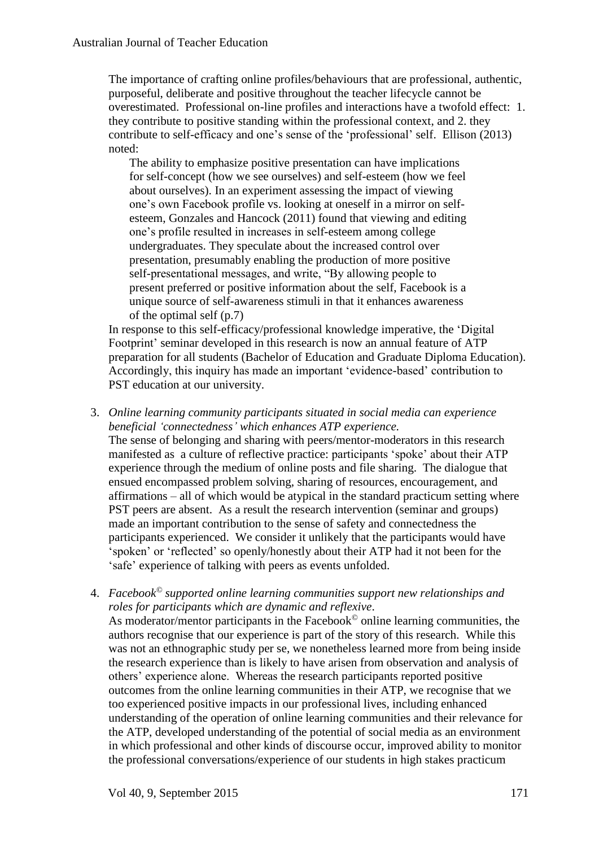The importance of crafting online profiles/behaviours that are professional, authentic, purposeful, deliberate and positive throughout the teacher lifecycle cannot be overestimated. Professional on-line profiles and interactions have a twofold effect: 1. they contribute to positive standing within the professional context, and 2. they contribute to self-efficacy and one's sense of the 'professional' self. Ellison (2013) noted:

The ability to emphasize positive presentation can have implications for self-concept (how we see ourselves) and self-esteem (how we feel about ourselves). In an experiment assessing the impact of viewing one's own Facebook profile vs. looking at oneself in a mirror on selfesteem, Gonzales and Hancock (2011) found that viewing and editing one's profile resulted in increases in self-esteem among college undergraduates. They speculate about the increased control over presentation, presumably enabling the production of more positive self-presentational messages, and write, "By allowing people to present preferred or positive information about the self, Facebook is a unique source of self-awareness stimuli in that it enhances awareness of the optimal self (p.7)

In response to this self-efficacy/professional knowledge imperative, the 'Digital Footprint' seminar developed in this research is now an annual feature of ATP preparation for all students (Bachelor of Education and Graduate Diploma Education). Accordingly, this inquiry has made an important 'evidence-based' contribution to PST education at our university.

3. *Online learning community participants situated in social media can experience beneficial 'connectedness' which enhances ATP experience.*

The sense of belonging and sharing with peers/mentor-moderators in this research manifested as a culture of reflective practice: participants 'spoke' about their ATP experience through the medium of online posts and file sharing. The dialogue that ensued encompassed problem solving, sharing of resources, encouragement, and affirmations – all of which would be atypical in the standard practicum setting where PST peers are absent. As a result the research intervention (seminar and groups) made an important contribution to the sense of safety and connectedness the participants experienced. We consider it unlikely that the participants would have 'spoken' or 'reflected' so openly/honestly about their ATP had it not been for the 'safe' experience of talking with peers as events unfolded.

4. *Facebook© supported online learning communities support new relationships and roles for participants which are dynamic and reflexive*.

As moderator/mentor participants in the Facebook<sup> $\odot$ </sup> online learning communities, the authors recognise that our experience is part of the story of this research. While this was not an ethnographic study per se, we nonetheless learned more from being inside the research experience than is likely to have arisen from observation and analysis of others' experience alone. Whereas the research participants reported positive outcomes from the online learning communities in their ATP, we recognise that we too experienced positive impacts in our professional lives, including enhanced understanding of the operation of online learning communities and their relevance for the ATP, developed understanding of the potential of social media as an environment in which professional and other kinds of discourse occur, improved ability to monitor the professional conversations/experience of our students in high stakes practicum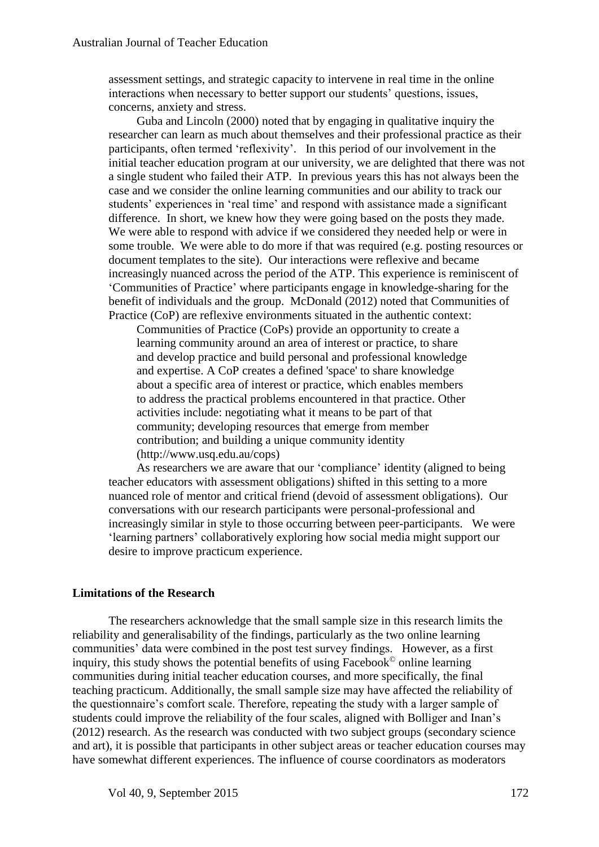assessment settings, and strategic capacity to intervene in real time in the online interactions when necessary to better support our students' questions, issues, concerns, anxiety and stress.

Guba and Lincoln (2000) noted that by engaging in qualitative inquiry the researcher can learn as much about themselves and their professional practice as their participants, often termed 'reflexivity'. In this period of our involvement in the initial teacher education program at our university, we are delighted that there was not a single student who failed their ATP. In previous years this has not always been the case and we consider the online learning communities and our ability to track our students' experiences in 'real time' and respond with assistance made a significant difference. In short, we knew how they were going based on the posts they made. We were able to respond with advice if we considered they needed help or were in some trouble. We were able to do more if that was required (e.g. posting resources or document templates to the site). Our interactions were reflexive and became increasingly nuanced across the period of the ATP. This experience is reminiscent of 'Communities of Practice' where participants engage in knowledge-sharing for the benefit of individuals and the group. McDonald (2012) noted that Communities of Practice (CoP) are reflexive environments situated in the authentic context:

Communities of Practice (CoPs) provide an opportunity to create a learning community around an area of interest or practice, to share and develop practice and build personal and professional knowledge and expertise. A CoP creates a defined 'space' to share knowledge about a specific area of interest or practice, which enables members to address the practical problems encountered in that practice. Other activities include: negotiating what it means to be part of that community; developing resources that emerge from member contribution; and building a unique community identity (http://www.usq.edu.au/cops)

As researchers we are aware that our 'compliance' identity (aligned to being teacher educators with assessment obligations) shifted in this setting to a more nuanced role of mentor and critical friend (devoid of assessment obligations). Our conversations with our research participants were personal-professional and increasingly similar in style to those occurring between peer-participants. We were 'learning partners' collaboratively exploring how social media might support our desire to improve practicum experience.

#### **Limitations of the Research**

The researchers acknowledge that the small sample size in this research limits the reliability and generalisability of the findings, particularly as the two online learning communities' data were combined in the post test survey findings. However, as a first inquiry, this study shows the potential benefits of using Facebook© online learning communities during initial teacher education courses, and more specifically, the final teaching practicum. Additionally, the small sample size may have affected the reliability of the questionnaire's comfort scale. Therefore, repeating the study with a larger sample of students could improve the reliability of the four scales, aligned with Bolliger and Inan's (2012) research. As the research was conducted with two subject groups (secondary science and art), it is possible that participants in other subject areas or teacher education courses may have somewhat different experiences. The influence of course coordinators as moderators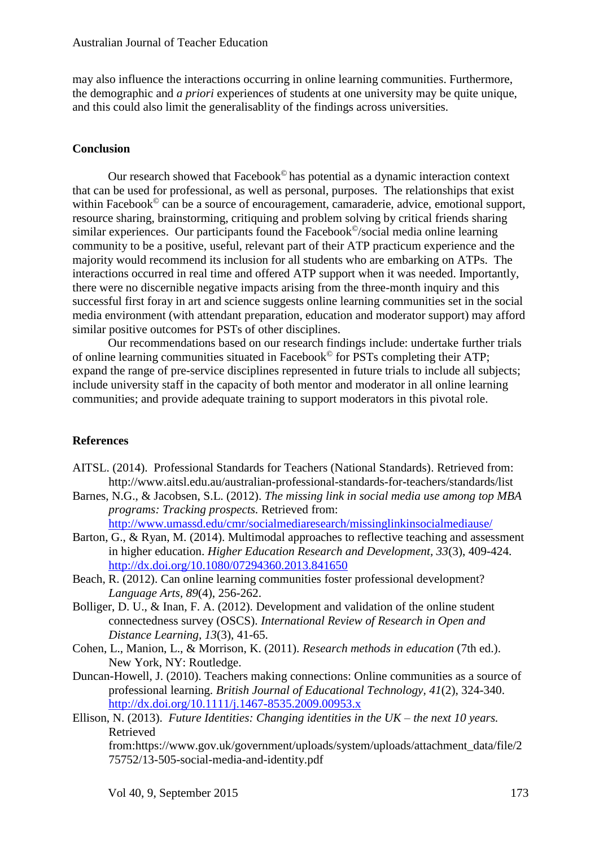may also influence the interactions occurring in online learning communities. Furthermore, the demographic and *a priori* experiences of students at one university may be quite unique, and this could also limit the generalisablity of the findings across universities.

#### **Conclusion**

Our research showed that Facebook© has potential as a dynamic interaction context that can be used for professional, as well as personal, purposes. The relationships that exist within Facebook<sup>©</sup> can be a source of encouragement, camaraderie, advice, emotional support, resource sharing, brainstorming, critiquing and problem solving by critical friends sharing similar experiences. Our participants found the Facebook<sup>©</sup>/social media online learning community to be a positive, useful, relevant part of their ATP practicum experience and the majority would recommend its inclusion for all students who are embarking on ATPs. The interactions occurred in real time and offered ATP support when it was needed. Importantly, there were no discernible negative impacts arising from the three-month inquiry and this successful first foray in art and science suggests online learning communities set in the social media environment (with attendant preparation, education and moderator support) may afford similar positive outcomes for PSTs of other disciplines.

Our recommendations based on our research findings include: undertake further trials of online learning communities situated in Facebook© for PSTs completing their ATP; expand the range of pre-service disciplines represented in future trials to include all subjects; include university staff in the capacity of both mentor and moderator in all online learning communities; and provide adequate training to support moderators in this pivotal role.

#### **References**

- AITSL. (2014). Professional Standards for Teachers (National Standards). Retrieved from: ht[tp://www.aitsl.edu.au/australian-professional-standards-for-teac](file:///p:/www.aitsl.edu.au/australian-professional-standards-for-tea)hers/standards/list
- Barnes, N.G., & Jacobsen, S.L. (2012). *The missing link in social media use among top MBA programs: Tracking prospects.* Retrieved from:

<http://www.umassd.edu/cmr/socialmediaresearch/missinglinkinsocialmediause/>

- Barton, G., & Ryan, M. (2014). Multimodal approaches to reflective teaching and assessment in higher education. *Higher Education Research and Development, 33*(3), 409-424. <http://dx.doi.org/10.1080/07294360.2013.841650>
- Beach, R. (2012). Can online learning communities foster professional development? *Language Arts, 89*(4), 256-262.
- Bolliger, D. U., & Inan, F. A. (2012). Development and validation of the online student connectedness survey (OSCS). *International Review of Research in Open and Distance Learning, 13*(3), 41-65.
- Cohen, L., Manion, L., & Morrison, K. (2011). *Research methods in education* (7th ed.). New York, NY: Routledge.
- Duncan-Howell, J. (2010). Teachers making connections: Online communities as a source of professional learning. *British Journal of Educational Technology, 41*(2), 324-340. <http://dx.doi.org/10.1111/j.1467-8535.2009.00953.x>
- Ellison, N. (2013). *Future Identities: Changing identities in the UK – the next 10 years.*  Retrieved from:https://www.gov.uk/government/uploads/system/uploads/attachment\_data/file/2 75752/13-505-social-media-and-identity.pdf

Vol 40, 9, September 2015 173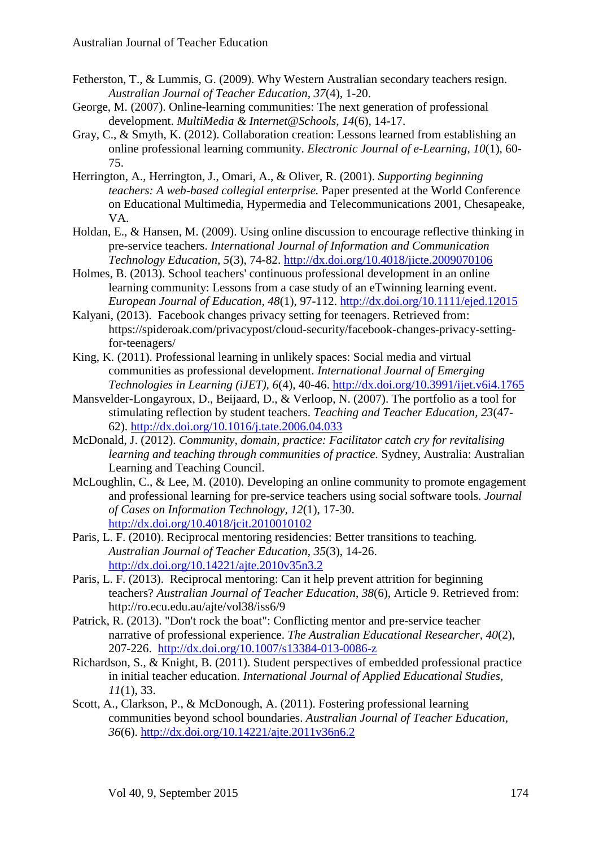- Fetherston, T., & Lummis, G. (2009). Why Western Australian secondary teachers resign. *Australian Journal of Teacher Education, 37*(4), 1-20.
- George, M. (2007). Online-learning communities: The next generation of professional development. *MultiMedia & Internet@Schools, 14*(6), 14-17.
- Gray, C., & Smyth, K. (2012). Collaboration creation: Lessons learned from establishing an online professional learning community. *Electronic Journal of e-Learning, 10*(1), 60- 75.
- Herrington, A., Herrington, J., Omari, A., & Oliver, R. (2001). *Supporting beginning teachers: A web-based collegial enterprise.* Paper presented at the World Conference on Educational Multimedia, Hypermedia and Telecommunications 2001, Chesapeake, VA.
- Holdan, E., & Hansen, M. (2009). Using online discussion to encourage reflective thinking in pre-service teachers. *International Journal of Information and Communication Technology Education, 5*(3), 74-82.<http://dx.doi.org/10.4018/jicte.2009070106>
- Holmes, B. (2013). School teachers' continuous professional development in an online learning community: Lessons from a case study of an eTwinning learning event. *European Journal of Education, 48*(1), 97-112. <http://dx.doi.org/10.1111/ejed.12015>
- Kalyani, (2013). Facebook changes privacy setting for teenagers. Retrieved from: https://spideroak.com/privacypost/cloud-security/facebook-changes-privacy-settingfor-teenagers/
- King, K. (2011). Professional learning in unlikely spaces: Social media and virtual communities as professional development. *International Journal of Emerging Technologies in Learning (iJET), 6*(4), 40-46. <http://dx.doi.org/10.3991/ijet.v6i4.1765>
- Mansvelder-Longayroux, D., Beijaard, D., & Verloop, N. (2007). The portfolio as a tool for stimulating reflection by student teachers. *Teaching and Teacher Education, 23*(47- 62).<http://dx.doi.org/10.1016/j.tate.2006.04.033>
- McDonald, J. (2012). *Community, domain, practice: Facilitator catch cry for revitalising learning and teaching through communities of practice.* Sydney, Australia: Australian Learning and Teaching Council.
- McLoughlin, C., & Lee, M. (2010). Developing an online community to promote engagement and professional learning for pre-service teachers using social software tools. *Journal of Cases on Information Technology, 12*(1), 17-30. <http://dx.doi.org/10.4018/jcit.2010010102>
- Paris, L. F. (2010). Reciprocal mentoring residencies: Better transitions to teaching*. Australian Journal of Teacher Education*, *35*(3), 14-26. <http://dx.doi.org/10.14221/ajte.2010v35n3.2>
- Paris, L. F. (2013). Reciprocal mentoring: Can it help prevent attrition for beginning teachers? *Australian Journal of Teacher Education*, *38*(6), Article 9. Retrieved from: http://ro.ecu.edu.au/ajte/vol38/iss6/9
- Patrick, R. (2013). "Don't rock the boat": Conflicting mentor and pre-service teacher narrative of professional experience. *The Australian Educational Researcher, 40*(2), 207-226. <http://dx.doi.org/10.1007/s13384-013-0086-z>
- Richardson, S., & Knight, B. (2011). Student perspectives of embedded professional practice in initial teacher education. *International Journal of Applied Educational Studies, 11*(1), 33.
- Scott, A., Clarkson, P., & McDonough, A. (2011). Fostering professional learning communities beyond school boundaries. *Australian Journal of Teacher Education, 36*(6).<http://dx.doi.org/10.14221/ajte.2011v36n6.2>